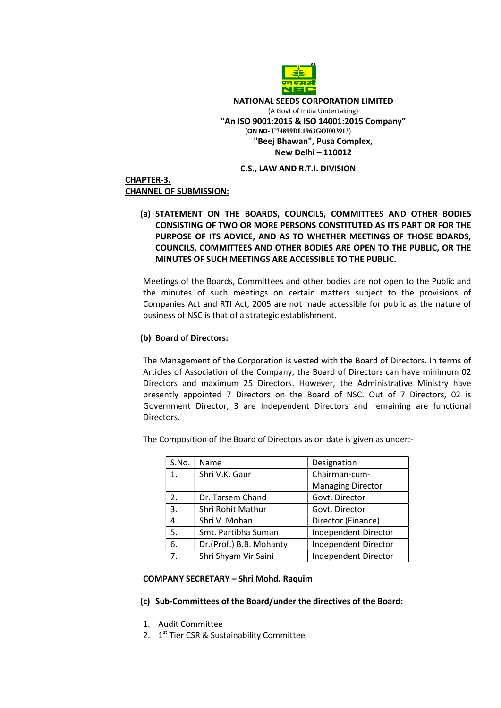

 NATIONAL SEEDS CORPORATION LIMITED (A Govt of India Undertaking) "An ISO 9001:2015 & ISO 14001:2015 Company" (CIN NO- U74899DL1963GOI003913) "Beej Bhawan", Pusa Complex, New Delhi – 110012

## C.S., LAW AND R.T.I. DIVISION

## CHAPTER-3. CHANNEL OF SUBMISSION:

# (a) STATEMENT ON THE BOARDS, COUNCILS, COMMITTEES AND OTHER BODIES CONSISTING OF TWO OR MORE PERSONS CONSTITUTED AS ITS PART OR FOR THE PURPOSE OF ITS ADVICE, AND AS TO WHETHER MEETINGS OF THOSE BOARDS, COUNCILS, COMMITTEES AND OTHER BODIES ARE OPEN TO THE PUBLIC, OR THE MINUTES OF SUCH MEETINGS ARE ACCESSIBLE TO THE PUBLIC.

Meetings of the Boards, Committees and other bodies are not open to the Public and the minutes of such meetings on certain matters subject to the provisions of Companies Act and RTI Act, 2005 are not made accessible for public as the nature of business of NSC is that of a strategic establishment.

## (b) Board of Directors:

The Management of the Corporation is vested with the Board of Directors. In terms of Articles of Association of the Company, the Board of Directors can have minimum 02 Directors and maximum 25 Directors. However, the Administrative Ministry have presently appointed 7 Directors on the Board of NSC. Out of 7 Directors, 02 is Government Director, 3 are Independent Directors and remaining are functional Directors.

| S.No. | Name                    | Designation              |
|-------|-------------------------|--------------------------|
| 1.    | Shri V.K. Gaur          | Chairman-cum-            |
|       |                         | <b>Managing Director</b> |
| 2.    | Dr. Tarsem Chand        | Govt. Director           |
| 3.    | Shri Rohit Mathur       | Govt. Director           |
| 4.    | Shri V. Mohan           | Director (Finance)       |
| 5.    | Smt. Partibha Suman     | Independent Director     |
| 6.    | Dr.(Prof.) B.B. Mohanty | Independent Director     |
| 7.    | Shri Shyam Vir Saini    | Independent Director     |

The Composition of the Board of Directors as on date is given as under:-

## COMPANY SECRETARY – Shri Mohd. Raquim

## (c) Sub-Committees of the Board/under the directives of the Board:

- 1. Audit Committee
- 2. 1<sup>st</sup> Tier CSR & Sustainability Committee